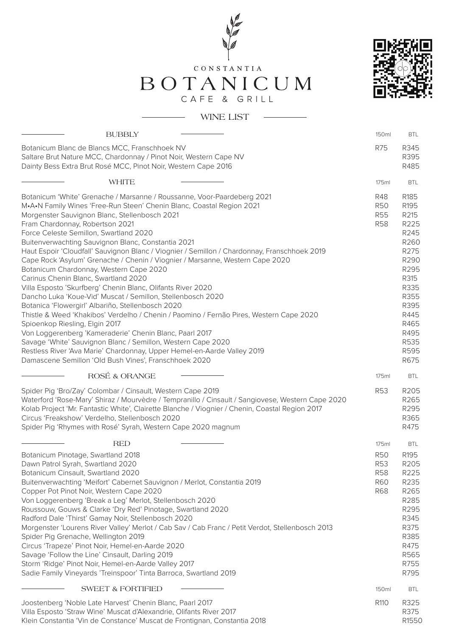



BOTANICUM

| <b>BUBBLY</b>                                                                                                                                                                                                                                                                                                                                                                                                                                                                                                                                                                                                                                                                                                                                                                                                                                                                                                                                                                                                                                                                                                                                                                           | 150ml                                                                       | <b>BTL</b>                                                                                                                                           |
|-----------------------------------------------------------------------------------------------------------------------------------------------------------------------------------------------------------------------------------------------------------------------------------------------------------------------------------------------------------------------------------------------------------------------------------------------------------------------------------------------------------------------------------------------------------------------------------------------------------------------------------------------------------------------------------------------------------------------------------------------------------------------------------------------------------------------------------------------------------------------------------------------------------------------------------------------------------------------------------------------------------------------------------------------------------------------------------------------------------------------------------------------------------------------------------------|-----------------------------------------------------------------------------|------------------------------------------------------------------------------------------------------------------------------------------------------|
| Botanicum Blanc de Blancs MCC, Franschhoek NV<br>Saltare Brut Nature MCC, Chardonnay / Pinot Noir, Western Cape NV<br>Dainty Bess Extra Brut Rosé MCC, Pinot Noir, Western Cape 2016                                                                                                                                                                                                                                                                                                                                                                                                                                                                                                                                                                                                                                                                                                                                                                                                                                                                                                                                                                                                    | <b>R75</b>                                                                  | R345<br>R395<br>R485                                                                                                                                 |
| <b>WHITE</b>                                                                                                                                                                                                                                                                                                                                                                                                                                                                                                                                                                                                                                                                                                                                                                                                                                                                                                                                                                                                                                                                                                                                                                            | 175ml                                                                       | <b>BTL</b>                                                                                                                                           |
| Botanicum 'White' Grenache / Marsanne / Roussanne, Voor-Paardeberg 2021<br>M.A.N Family Wines 'Free-Run Steen' Chenin Blanc, Coastal Region 2021<br>Morgenster Sauvignon Blanc, Stellenbosch 2021<br>Fram Chardonnay, Robertson 2021<br>Force Celeste Semillon, Swartland 2020<br>Buitenverwachting Sauvignon Blanc, Constantia 2021<br>Haut Espoir 'Cloudfall' Sauvignon Blanc / Viognier / Semillon / Chardonnay, Franschhoek 2019<br>Cape Rock 'Asylum' Grenache / Chenin / Viognier / Marsanne, Western Cape 2020<br>Botanicum Chardonnay, Western Cape 2020<br>Carinus Chenin Blanc, Swartland 2020<br>Villa Esposto 'Skurfberg' Chenin Blanc, Olifants River 2020<br>Dancho Luka 'Koue-Vid' Muscat / Semillon, Stellenbosch 2020<br>Botanica 'Flowergirl' Albariño, Stellenbosch 2020<br>Thistle & Weed 'Khakibos' Verdelho / Chenin / Paomino / Fernão Pires, Western Cape 2020<br>Spioenkop Riesling, Elgin 2017<br>Von Loggerenberg 'Kameraderie' Chenin Blanc, Paarl 2017<br>Savage 'White' Sauvignon Blanc / Semillon, Western Cape 2020<br>Restless River 'Ava Marie' Chardonnay, Upper Hemel-en-Aarde Valley 2019<br>Damascene Semillon 'Old Bush Vines', Franschhoek 2020 | <b>R48</b><br><b>R50</b><br><b>R55</b><br><b>R58</b>                        | R185<br>R195<br>R215<br>R225<br>R245<br>R260<br>R275<br>R290<br>R295<br>R315<br>R335<br>R355<br>R395<br>R445<br>R465<br>R495<br>R535<br>R595<br>R675 |
| ROSÉ & ORANGE                                                                                                                                                                                                                                                                                                                                                                                                                                                                                                                                                                                                                                                                                                                                                                                                                                                                                                                                                                                                                                                                                                                                                                           | 175ml                                                                       | <b>BTL</b>                                                                                                                                           |
| Spider Pig 'Bro/Zay' Colombar / Cinsault, Western Cape 2019<br>Waterford 'Rose-Mary' Shiraz / Mourvèdre / Tempranillo / Cinsault / Sangiovese, Western Cape 2020<br>Kolab Project 'Mr. Fantastic White', Clairette Blanche / Viognier / Chenin, Coastal Region 2017<br>Circus 'Freakshow' Verdelho, Stellenbosch 2020<br>Spider Pig 'Rhymes with Rosé' Syrah, Western Cape 2020 magnum                                                                                                                                                                                                                                                                                                                                                                                                                                                                                                                                                                                                                                                                                                                                                                                                  | <b>R53</b>                                                                  | R205<br>R265<br>R295<br>R365<br>R475                                                                                                                 |
| <b>RED</b><br>Botanicum Pinotage, Swartland 2018<br>Dawn Patrol Syrah, Swartland 2020<br>Botanicum Cinsault, Swartland 2020<br>Buitenverwachting 'Meifort' Cabernet Sauvignon / Merlot, Constantia 2019<br>Copper Pot Pinot Noir, Western Cape 2020<br>Von Loggerenberg 'Break a Leg' Merlot, Stellenbosch 2020<br>Roussouw, Gouws & Clarke 'Dry Red' Pinotage, Swartland 2020<br>Radford Dale 'Thirst' Gamay Noir, Stellenbosch 2020<br>Morgenster 'Lourens River Valley' Merlot / Cab Sav / Cab Franc / Petit Verdot, Stellenbosch 2013<br>Spider Pig Grenache, Wellington 2019<br>Circus 'Trapeze' Pinot Noir, Hemel-en-Aarde 2020<br>Savage 'Follow the Line' Cinsault, Darling 2019<br>Storm 'Ridge' Pinot Noir, Hemel-en-Aarde Valley 2017<br>Sadie Family Vineyards 'Treinspoor' Tinta Barroca, Swartland 2019                                                                                                                                                                                                                                                                                                                                                                   | 175ml<br><b>R50</b><br><b>R53</b><br><b>R58</b><br><b>R60</b><br><b>R68</b> | <b>BTL</b><br>R <sub>195</sub><br>R205<br>R225<br>R235<br>R265<br>R285<br>R295<br>R345<br>R375<br>R385<br>R475<br>R565<br>R755<br>R795               |
| <b>SWEET &amp; FORTIFIED</b>                                                                                                                                                                                                                                                                                                                                                                                                                                                                                                                                                                                                                                                                                                                                                                                                                                                                                                                                                                                                                                                                                                                                                            | 150ml                                                                       | <b>BTL</b>                                                                                                                                           |
| Joostenberg 'Noble Late Harvest' Chenin Blanc, Paarl 2017<br>Villa Esposto 'Straw Wine' Muscat d'Alexandrie, Olifants River 2017<br>Klein Constantia 'Vin de Constance' Muscat de Frontignan, Constantia 2018                                                                                                                                                                                                                                                                                                                                                                                                                                                                                                                                                                                                                                                                                                                                                                                                                                                                                                                                                                           | R110                                                                        | R325<br>R375<br>R1550                                                                                                                                |